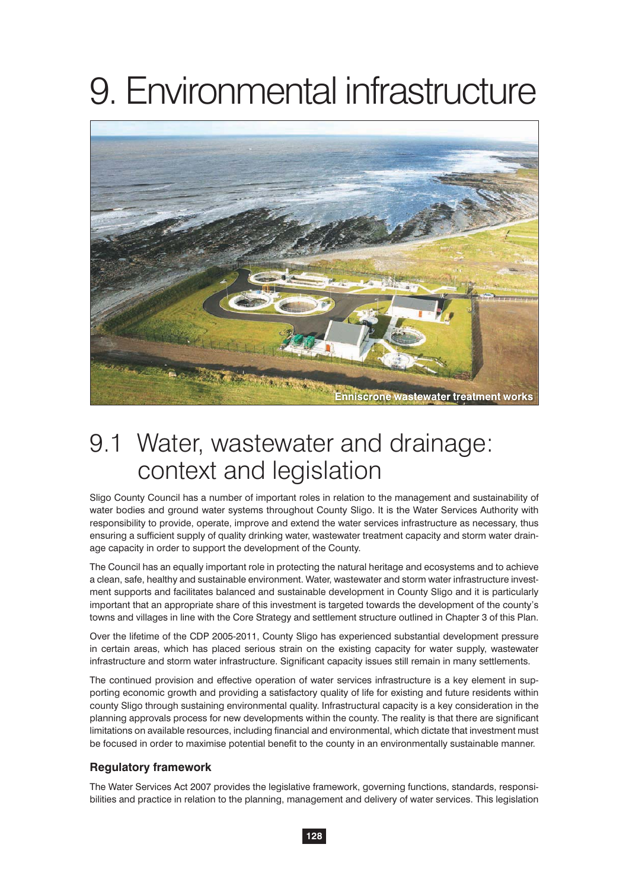# 9. Environmental infrastructure



## 9.1 Water, wastewater and drainage: context and legislation

Sligo County Council has a number of important roles in relation to the management and sustainability of water bodies and ground water systems throughout County Sligo. It is the Water Services Authority with responsibility to provide, operate, improve and extend the water services infrastructure as necessary, thus ensuring a sufficient supply of quality drinking water, wastewater treatment capacity and storm water drainage capacity in order to support the development of the County.

The Council has an equally important role in protecting the natural heritage and ecosystems and to achieve a clean, safe, healthy and sustainable environment. Water, wastewater and storm water infrastructure investment supports and facilitates balanced and sustainable development in County Sligo and it is particularly important that an appropriate share of this investment is targeted towards the development of the county's towns and villages in line with the Core Strategy and settlement structure outlined in Chapter 3 of this Plan.

Over the lifetime of the CDP 2005-2011, County Sligo has experienced substantial development pressure in certain areas, which has placed serious strain on the existing capacity for water supply, wastewater infrastructure and storm water infrastructure. Significant capacity issues still remain in many settlements.

The continued provision and effective operation of water services infrastructure is a key element in supporting economic growth and providing a satisfactory quality of life for existing and future residents within county Sligo through sustaining environmental quality. Infrastructural capacity is a key consideration in the planning approvals process for new developments within the county. The reality is that there are significant limitations on available resources, including financial and environmental, which dictate that investment must be focused in order to maximise potential benefit to the county in an environmentally sustainable manner.

#### **Regulatory framework**

The Water Services Act 2007 provides the legislative framework, governing functions, standards, responsibilities and practice in relation to the planning, management and delivery of water services. This legislation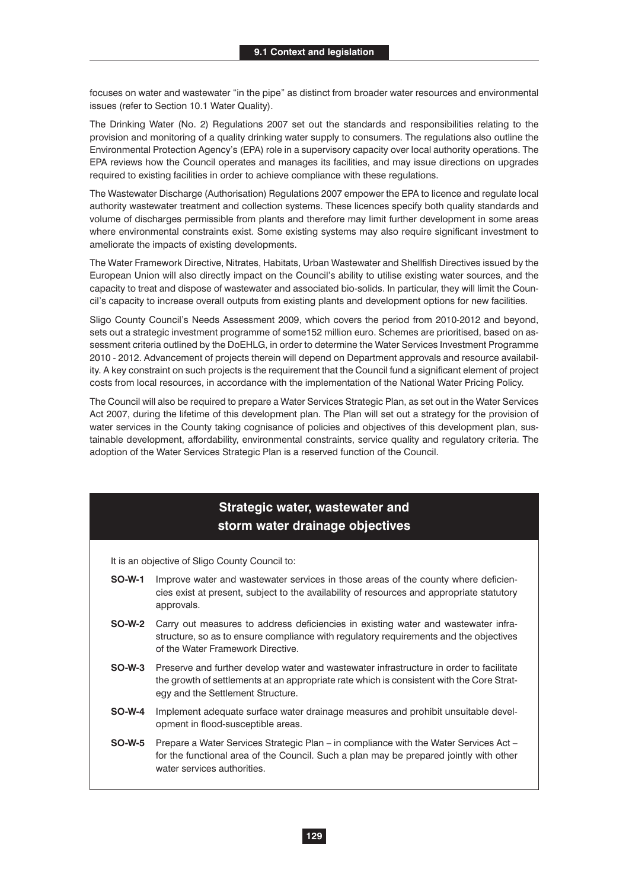focuses on water and wastewater "in the pipe" as distinct from broader water resources and environmental issues (refer to Section 10.1 Water Quality).

The Drinking Water (No. 2) Regulations 2007 set out the standards and responsibilities relating to the provision and monitoring of a quality drinking water supply to consumers. The regulations also outline the Environmental Protection Agency's (EPA) role in a supervisory capacity over local authority operations. The EPA reviews how the Council operates and manages its facilities, and may issue directions on upgrades required to existing facilities in order to achieve compliance with these regulations.

The Wastewater Discharge (Authorisation) Regulations 2007 empower the EPA to licence and regulate local authority wastewater treatment and collection systems. These licences specify both quality standards and volume of discharges permissible from plants and therefore may limit further development in some areas where environmental constraints exist. Some existing systems may also require significant investment to ameliorate the impacts of existing developments.

The Water Framework Directive, Nitrates, Habitats, Urban Wastewater and Shellfish Directives issued by the European Union will also directly impact on the Council's ability to utilise existing water sources, and the capacity to treat and dispose of wastewater and associated bio-solids. In particular, they will limit the Council's capacity to increase overall outputs from existing plants and development options for new facilities.

Sligo County Council's Needs Assessment 2009, which covers the period from 2010-2012 and beyond, sets out a strategic investment programme of some152 million euro. Schemes are prioritised, based on assessment criteria outlined by the DoEHLG, in order to determine the Water Services Investment Programme 2010 - 2012. Advancement of projects therein will depend on Department approvals and resource availability. A key constraint on such projects is the requirement that the Council fund a significant element of project costs from local resources, in accordance with the implementation of the National Water Pricing Policy.

The Council will also be required to prepare a Water Services Strategic Plan, as set out in the Water Services Act 2007, during the lifetime of this development plan. The Plan will set out a strategy for the provision of water services in the County taking cognisance of policies and objectives of this development plan, sustainable development, affordability, environmental constraints, service quality and regulatory criteria. The adoption of the Water Services Strategic Plan is a reserved function of the Council.

#### **Strategic water, wastewater and storm water drainage objectives**

It is an objective of Sligo County Council to:

- **SO-W-1** Improve water and wastewater services in those areas of the county where deficiencies exist at present, subject to the availability of resources and appropriate statutory approvals.
- **SO-W-2** Carry out measures to address deficiencies in existing water and wastewater infrastructure, so as to ensure compliance with regulatory requirements and the objectives of the Water Framework Directive.
- **SO-W-3** Preserve and further develop water and wastewater infrastructure in order to facilitate the growth of settlements at an appropriate rate which is consistent with the Core Strategy and the Settlement Structure.
- **SO-W-4** Implement adequate surface water drainage measures and prohibit unsuitable development in flood-susceptible areas.
- **SO-W-5** Prepare a Water Services Strategic Plan in compliance with the Water Services Act for the functional area of the Council. Such a plan may be prepared jointly with other water services authorities.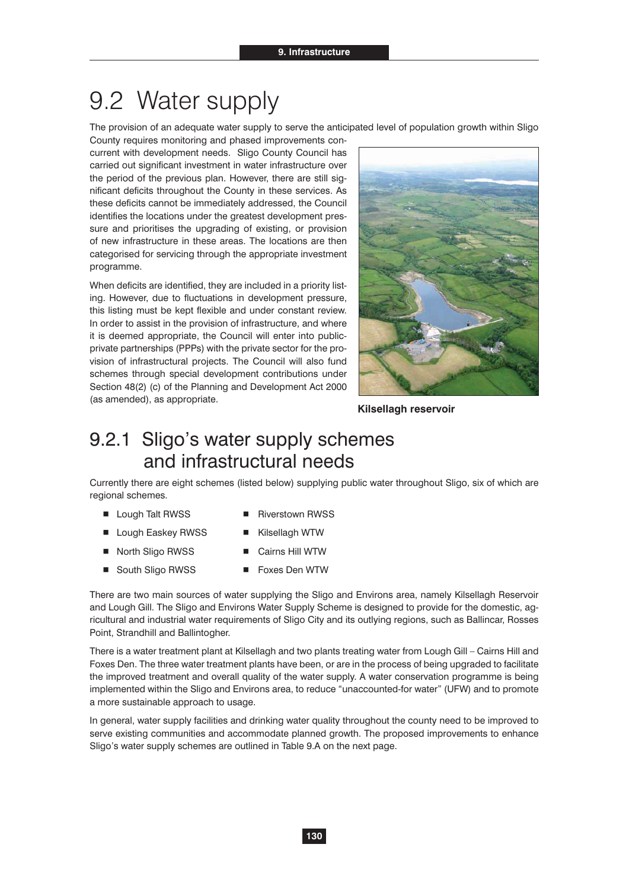## 9.2 Water supply

The provision of an adequate water supply to serve the anticipated level of population growth within Sligo

County requires monitoring and phased improvements concurrent with development needs. Sligo County Council has carried out significant investment in water infrastructure over the period of the previous plan. However, there are still significant deficits throughout the County in these services. As these deficits cannot be immediately addressed, the Council identifies the locations under the greatest development pressure and prioritises the upgrading of existing, or provision of new infrastructure in these areas. The locations are then categorised for servicing through the appropriate investment programme.

When deficits are identified, they are included in a priority listing. However, due to fluctuations in development pressure, this listing must be kept flexible and under constant review. In order to assist in the provision of infrastructure, and where it is deemed appropriate, the Council will enter into publicprivate partnerships (PPPs) with the private sector for the provision of infrastructural projects. The Council will also fund schemes through special development contributions under Section 48(2) (c) of the Planning and Development Act 2000 (as amended), as appropriate.



**Kilsellagh reservoir**

### 9.2.1 Sligo's water supply schemes and infrastructural needs

Currently there are eight schemes (listed below) supplying public water throughout Sligo, six of which are regional schemes.

- Lough Talt RWSS Riverstown RWSS
- Lough Easkey RWSS Kilsellagh WTW
- North Sligo RWSS Cairns Hill WTW
- South Sligo RWSS Foxes Den WTW

There are two main sources of water supplying the Sligo and Environs area, namely Kilsellagh Reservoir and Lough Gill. The Sligo and Environs Water Supply Scheme is designed to provide for the domestic, agricultural and industrial water requirements of Sligo City and its outlying regions, such as Ballincar, Rosses Point, Strandhill and Ballintogher.

There is a water treatment plant at Kilsellagh and two plants treating water from Lough Gill – Cairns Hill and Foxes Den. The three water treatment plants have been, or are in the process of being upgraded to facilitate the improved treatment and overall quality of the water supply. A water conservation programme is being implemented within the Sligo and Environs area, to reduce "unaccounted-for water" (UFW) and to promote a more sustainable approach to usage.

In general, water supply facilities and drinking water quality throughout the county need to be improved to serve existing communities and accommodate planned growth. The proposed improvements to enhance Sligo's water supply schemes are outlined in Table 9.A on the next page.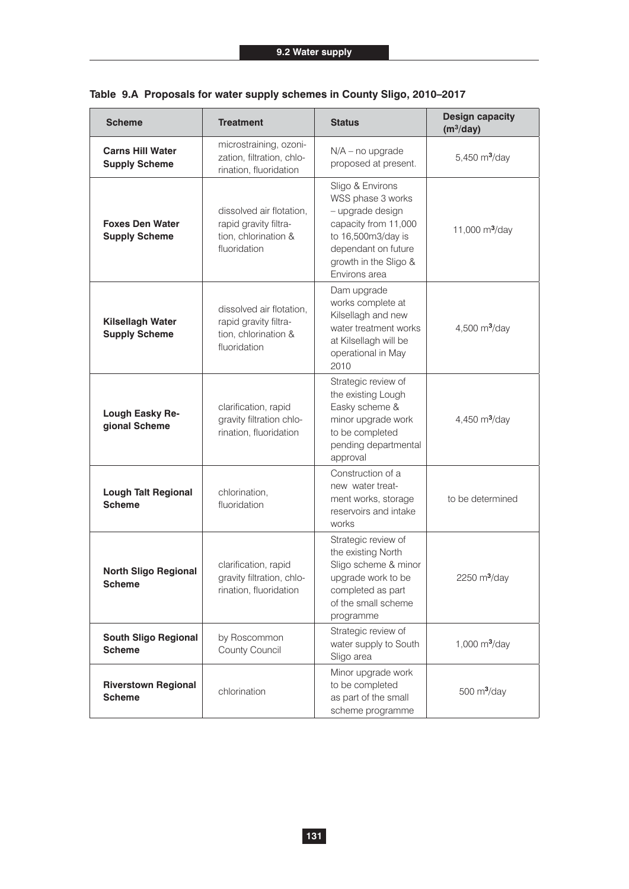| <b>Scheme</b>                                   | <b>Treatment</b>                                                                                                                                                                                                                                                      | <b>Status</b>                                                                                                                          | <b>Design capacity</b><br>$(m^3/day)$ |
|-------------------------------------------------|-----------------------------------------------------------------------------------------------------------------------------------------------------------------------------------------------------------------------------------------------------------------------|----------------------------------------------------------------------------------------------------------------------------------------|---------------------------------------|
| <b>Carns Hill Water</b><br><b>Supply Scheme</b> | microstraining, ozoni-<br>zation, filtration, chlo-<br>rination, fluoridation                                                                                                                                                                                         | $N/A$ – no upgrade<br>proposed at present.                                                                                             | 5,450 $m^3$ /day                      |
| <b>Foxes Den Water</b><br><b>Supply Scheme</b>  | Sligo & Environs<br>WSS phase 3 works<br>dissolved air flotation,<br>- upgrade design<br>capacity from 11,000<br>rapid gravity filtra-<br>tion, chlorination &<br>to 16,500m3/day is<br>fluoridation<br>dependant on future<br>growth in the Sligo &<br>Environs area |                                                                                                                                        | 11,000 $m^3$ /day                     |
| Kilsellagh Water<br><b>Supply Scheme</b>        | dissolved air flotation,<br>rapid gravity filtra-<br>tion, chlorination &<br>fluoridation                                                                                                                                                                             | Dam upgrade<br>works complete at<br>Kilsellagh and new<br>water treatment works<br>at Kilsellagh will be<br>operational in May<br>2010 | 4,500 $m^3$ /day                      |
| Lough Easky Re-<br>gional Scheme                | Strategic review of<br>the existing Lough<br>Easky scheme &<br>clarification, rapid<br>gravity filtration chlo-<br>minor upgrade work<br>rination, fluoridation<br>to be completed<br>pending departmental<br>approval                                                |                                                                                                                                        | 4,450 $m^3$ /day                      |
| <b>Lough Talt Regional</b><br><b>Scheme</b>     | chlorination,<br>fluoridation                                                                                                                                                                                                                                         | Construction of a<br>new water treat-<br>ment works, storage<br>reservoirs and intake<br>works                                         | to be determined                      |
| <b>North Sligo Regional</b><br><b>Scheme</b>    | clarification, rapid<br>gravity filtration, chlo-<br>rination, fluoridation                                                                                                                                                                                           |                                                                                                                                        | 2250 $m3/day$                         |
| <b>South Sligo Regional</b><br><b>Scheme</b>    | by Roscommon<br>County Council                                                                                                                                                                                                                                        | Strategic review of<br>water supply to South<br>Sligo area                                                                             | 1,000 $m^3$ /day                      |
| <b>Riverstown Regional</b><br><b>Scheme</b>     | chlorination                                                                                                                                                                                                                                                          | Minor upgrade work<br>to be completed<br>as part of the small<br>scheme programme                                                      | 500 $m^3$ /day                        |

|  |  |  |  |  |  |  | Table 9.A Proposals for water supply schemes in County Sligo, 2010–2017 |
|--|--|--|--|--|--|--|-------------------------------------------------------------------------|
|--|--|--|--|--|--|--|-------------------------------------------------------------------------|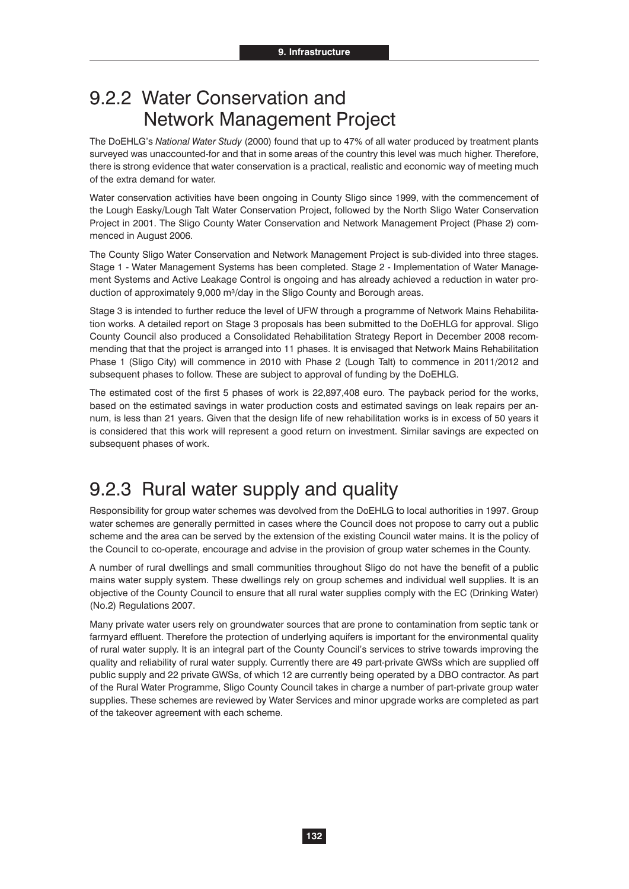### 9.2.2 Water Conservation and Network Management Project

The DoEHLG's *National Water Study* (2000) found that up to 47% of all water produced by treatment plants surveyed was unaccounted-for and that in some areas of the country this level was much higher. Therefore, there is strong evidence that water conservation is a practical, realistic and economic way of meeting much of the extra demand for water.

Water conservation activities have been ongoing in County Sligo since 1999, with the commencement of the Lough Easky/Lough Talt Water Conservation Project, followed by the North Sligo Water Conservation Project in 2001. The Sligo County Water Conservation and Network Management Project (Phase 2) commenced in August 2006.

The County Sligo Water Conservation and Network Management Project is sub-divided into three stages. Stage 1 - Water Management Systems has been completed. Stage 2 - Implementation of Water Management Systems and Active Leakage Control is ongoing and has already achieved a reduction in water production of approximately 9,000 m<sup>3</sup>/day in the Sligo County and Borough areas.

Stage 3 is intended to further reduce the level of UFW through a programme of Network Mains Rehabilitation works. A detailed report on Stage 3 proposals has been submitted to the DoEHLG for approval. Sligo County Council also produced a Consolidated Rehabilitation Strategy Report in December 2008 recommending that that the project is arranged into 11 phases. It is envisaged that Network Mains Rehabilitation Phase 1 (Sligo City) will commence in 2010 with Phase 2 (Lough Talt) to commence in 2011/2012 and subsequent phases to follow. These are subject to approval of funding by the DoEHLG.

The estimated cost of the first 5 phases of work is 22,897,408 euro. The payback period for the works, based on the estimated savings in water production costs and estimated savings on leak repairs per annum, is less than 21 years. Given that the design life of new rehabilitation works is in excess of 50 years it is considered that this work will represent a good return on investment. Similar savings are expected on subsequent phases of work.

## 9.2.3 Rural water supply and quality

Responsibility for group water schemes was devolved from the DoEHLG to local authorities in 1997. Group water schemes are generally permitted in cases where the Council does not propose to carry out a public scheme and the area can be served by the extension of the existing Council water mains. It is the policy of the Council to co-operate, encourage and advise in the provision of group water schemes in the County.

A number of rural dwellings and small communities throughout Sligo do not have the benefit of a public mains water supply system. These dwellings rely on group schemes and individual well supplies. It is an objective of the County Council to ensure that all rural water supplies comply with the EC (Drinking Water) (No.2) Regulations 2007.

Many private water users rely on groundwater sources that are prone to contamination from septic tank or farmyard effluent. Therefore the protection of underlying aquifers is important for the environmental quality of rural water supply. It is an integral part of the County Council's services to strive towards improving the quality and reliability of rural water supply. Currently there are 49 part-private GWSs which are supplied off public supply and 22 private GWSs, of which 12 are currently being operated by a DBO contractor. As part of the Rural Water Programme, Sligo County Council takes in charge a number of part-private group water supplies. These schemes are reviewed by Water Services and minor upgrade works are completed as part of the takeover agreement with each scheme.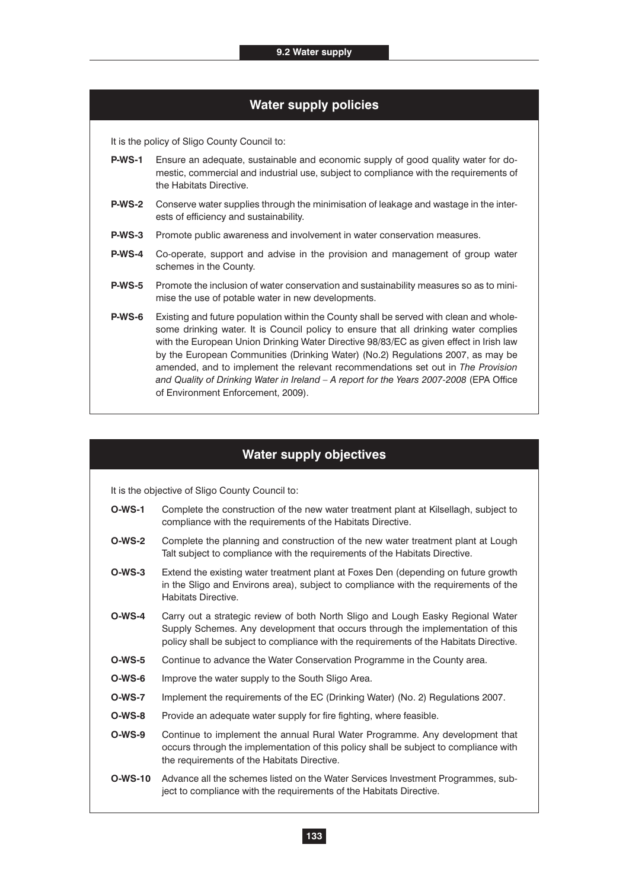| <b>Water supply policies</b> |  |
|------------------------------|--|
|------------------------------|--|

It is the policy of Sligo County Council to:

- **P-WS-1** Ensure an adequate, sustainable and economic supply of good quality water for domestic, commercial and industrial use, subject to compliance with the requirements of the Habitats Directive.
- **P-WS-2** Conserve water supplies through the minimisation of leakage and wastage in the interests of efficiency and sustainability.
- **P-WS-3** Promote public awareness and involvement in water conservation measures.
- **P-WS-4** Co-operate, support and advise in the provision and management of group water schemes in the County.
- **P-WS-5** Promote the inclusion of water conservation and sustainability measures so as to minimise the use of potable water in new developments.
- **P-WS-6** Existing and future population within the County shall be served with clean and wholesome drinking water. It is Council policy to ensure that all drinking water complies with the European Union Drinking Water Directive 98/83/EC as given effect in Irish law by the European Communities (Drinking Water) (No.2) Regulations 2007, as may be amended, and to implement the relevant recommendations set out in *The Provision and Quality of Drinking Water in Ireland – A report for the Years 2007-2008* (EPA Office of Environment Enforcement, 2009).

#### **Water supply objectives**

It is the objective of Sligo County Council to:

- **O-WS-1** Complete the construction of the new water treatment plant at Kilsellagh, subject to compliance with the requirements of the Habitats Directive.
- **O-WS-2** Complete the planning and construction of the new water treatment plant at Lough Talt subject to compliance with the requirements of the Habitats Directive.
- **O-WS-3** Extend the existing water treatment plant at Foxes Den (depending on future growth in the Sligo and Environs area), subject to compliance with the requirements of the Habitats Directive.
- **O-WS-4** Carry out a strategic review of both North Sligo and Lough Easky Regional Water Supply Schemes. Any development that occurs through the implementation of this policy shall be subject to compliance with the requirements of the Habitats Directive.
- **O-WS-5** Continue to advance the Water Conservation Programme in the County area.
- **O-WS-6** Improve the water supply to the South Sligo Area.
- **O-WS-7** Implement the requirements of the EC (Drinking Water) (No. 2) Regulations 2007.
- **O-WS-8** Provide an adequate water supply for fire fighting, where feasible.
- **O-WS-9** Continue to implement the annual Rural Water Programme. Any development that occurs through the implementation of this policy shall be subject to compliance with the requirements of the Habitats Directive.
- **O-WS-10** Advance all the schemes listed on the Water Services Investment Programmes, subject to compliance with the requirements of the Habitats Directive.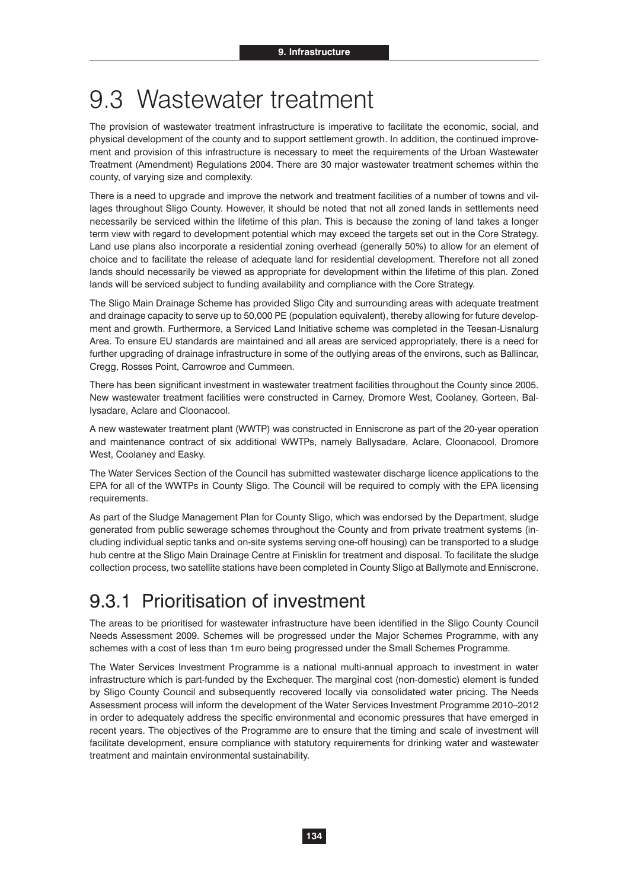## 9.3 Wastewater treatment

The provision of wastewater treatment infrastructure is imperative to facilitate the economic, social, and physical development of the county and to support settlement growth. In addition, the continued improvement and provision of this infrastructure is necessary to meet the requirements of the Urban Wastewater Treatment (Amendment) Regulations 2004. There are 30 major wastewater treatment schemes within the county, of varying size and complexity.

There is a need to upgrade and improve the network and treatment facilities of a number of towns and villages throughout Sligo County. However, it should be noted that not all zoned lands in settlements need necessarily be serviced within the lifetime of this plan. This is because the zoning of land takes a longer term view with regard to development potential which may exceed the targets set out in the Core Strategy. Land use plans also incorporate a residential zoning overhead (generally 50%) to allow for an element of choice and to facilitate the release of adequate land for residential development. Therefore not all zoned lands should necessarily be viewed as appropriate for development within the lifetime of this plan. Zoned lands will be serviced subject to funding availability and compliance with the Core Strategy.

The Sligo Main Drainage Scheme has provided Sligo City and surrounding areas with adequate treatment and drainage capacity to serve up to 50,000 PE (population equivalent), thereby allowing for future development and growth. Furthermore, a Serviced Land Initiative scheme was completed in the Teesan-Lisnalurg Area. To ensure EU standards are maintained and all areas are serviced appropriately, there is a need for further upgrading of drainage infrastructure in some of the outlying areas of the environs, such as Ballincar, Cregg, Rosses Point, Carrowroe and Cummeen.

There has been significant investment in wastewater treatment facilities throughout the County since 2005. New wastewater treatment facilities were constructed in Carney, Dromore West, Coolaney, Gorteen, Ballysadare, Aclare and Cloonacool.

A new wastewater treatment plant (WWTP) was constructed in Enniscrone as part of the 20-year operation and maintenance contract of six additional WWTPs, namely Ballysadare, Aclare, Cloonacool, Dromore West, Coolaney and Easky.

The Water Services Section of the Council has submitted wastewater discharge licence applications to the EPA for all of the WWTPs in County Sligo. The Council will be required to comply with the EPA licensing requirements.

As part of the Sludge Management Plan for County Sligo, which was endorsed by the Department, sludge generated from public sewerage schemes throughout the County and from private treatment systems (including individual septic tanks and on-site systems serving one-off housing) can be transported to a sludge hub centre at the Sligo Main Drainage Centre at Finisklin for treatment and disposal. To facilitate the sludge collection process, two satellite stations have been completed in County Sligo at Ballymote and Enniscrone.

## 9.3.1 Prioritisation of investment

The areas to be prioritised for wastewater infrastructure have been identified in the Sligo County Council Needs Assessment 2009. Schemes will be progressed under the Major Schemes Programme, with any schemes with a cost of less than 1m euro being progressed under the Small Schemes Programme.

The Water Services Investment Programme is a national multi-annual approach to investment in water infrastructure which is part-funded by the Exchequer. The marginal cost (non-domestic) element is funded by Sligo County Council and subsequently recovered locally via consolidated water pricing. The Needs Assessment process will inform the development of the Water Services Investment Programme 2010–2012 in order to adequately address the specific environmental and economic pressures that have emerged in recent years. The objectives of the Programme are to ensure that the timing and scale of investment will facilitate development, ensure compliance with statutory requirements for drinking water and wastewater treatment and maintain environmental sustainability.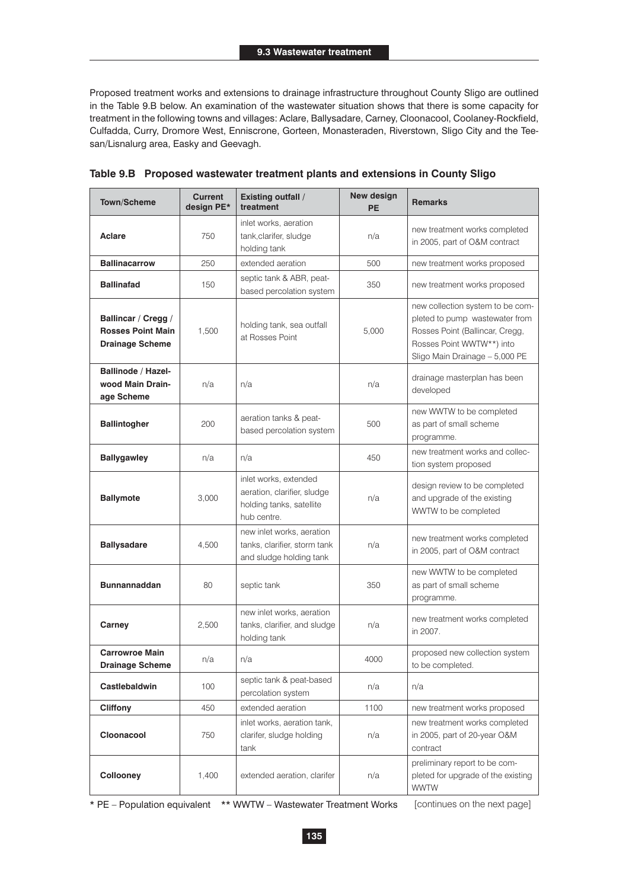Proposed treatment works and extensions to drainage infrastructure throughout County Sligo are outlined in the Table 9.B below. An examination of the wastewater situation shows that there is some capacity for treatment in the following towns and villages: Aclare, Ballysadare, Carney, Cloonacool, Coolaney-Rockfield, Culfadda, Curry, Dromore West, Enniscrone, Gorteen, Monasteraden, Riverstown, Sligo City and the Teesan/Lisnalurg area, Easky and Geevagh.

| <b>Town/Scheme</b>                                                        | <b>Current</b><br>design PE* | <b>Existing outfall /</b><br>treatment                                                          | <b>New design</b><br><b>PE</b> | <b>Remarks</b>                                                                                                                                                       |
|---------------------------------------------------------------------------|------------------------------|-------------------------------------------------------------------------------------------------|--------------------------------|----------------------------------------------------------------------------------------------------------------------------------------------------------------------|
| <b>Aclare</b>                                                             | 750                          | inlet works, aeration<br>tank, clarifer, sludge<br>holding tank                                 | n/a                            | new treatment works completed<br>in 2005, part of O&M contract                                                                                                       |
| <b>Ballinacarrow</b>                                                      | 250                          | extended aeration                                                                               | 500                            | new treatment works proposed                                                                                                                                         |
| <b>Ballinafad</b>                                                         | 150                          | septic tank & ABR, peat-<br>based percolation system                                            | 350                            | new treatment works proposed                                                                                                                                         |
| Ballincar / Cregg /<br><b>Rosses Point Main</b><br><b>Drainage Scheme</b> | 1,500                        | holding tank, sea outfall<br>at Rosses Point                                                    | 5,000                          | new collection system to be com-<br>pleted to pump wastewater from<br>Rosses Point (Ballincar, Cregg,<br>Rosses Point WWTW**) into<br>Sligo Main Drainage - 5,000 PE |
| <b>Ballinode / Hazel-</b><br>wood Main Drain-<br>age Scheme               | n/a                          | n/a                                                                                             | n/a                            | drainage masterplan has been<br>developed                                                                                                                            |
| <b>Ballintogher</b>                                                       | 200                          | aeration tanks & peat-<br>based percolation system                                              | 500                            | new WWTW to be completed<br>as part of small scheme<br>programme.                                                                                                    |
| <b>Ballygawley</b>                                                        | n/a                          | n/a                                                                                             | 450                            | new treatment works and collec-<br>tion system proposed                                                                                                              |
| <b>Ballymote</b>                                                          | 3,000                        | inlet works, extended<br>aeration, clarifier, sludge<br>holding tanks, satellite<br>hub centre. | n/a                            | design review to be completed<br>and upgrade of the existing<br>WWTW to be completed                                                                                 |
| <b>Ballysadare</b>                                                        | 4,500                        | new inlet works, aeration<br>tanks, clarifier, storm tank<br>and sludge holding tank            | n/a                            | new treatment works completed<br>in 2005, part of O&M contract                                                                                                       |
| <b>Bunnannaddan</b>                                                       | 80                           | septic tank                                                                                     | 350                            | new WWTW to be completed<br>as part of small scheme<br>programme.                                                                                                    |
| Carney                                                                    | 2.500                        | new inlet works, aeration<br>tanks, clarifier, and sludge<br>holding tank                       | n/a                            | new treatment works completed<br>in 2007.                                                                                                                            |
| <b>Carrowroe Main</b><br><b>Drainage Scheme</b>                           | n/a                          | n/a                                                                                             | 4000                           | proposed new collection system<br>to be completed.                                                                                                                   |
| Castlebaldwin                                                             | 100                          | septic tank & peat-based<br>percolation system                                                  | n/a                            | n/a                                                                                                                                                                  |
| <b>Cliffony</b>                                                           | 450                          | extended aeration                                                                               | 1100                           | new treatment works proposed                                                                                                                                         |
| Cloonacool                                                                | 750                          | inlet works, aeration tank,<br>clarifer, sludge holding<br>tank                                 | n/a                            | new treatment works completed<br>in 2005, part of 20-year O&M<br>contract                                                                                            |
| <b>Collooney</b>                                                          | 1,400                        | extended aeration, clarifer                                                                     | n/a                            | preliminary report to be com-<br>pleted for upgrade of the existing<br><b>WWTW</b>                                                                                   |

**Table 9.B Proposed wastewater treatment plants and extensions in County Sligo**

\* PE – Population equivalent \*\* WWTW – Wastewater Treatment Works [continues on the next page]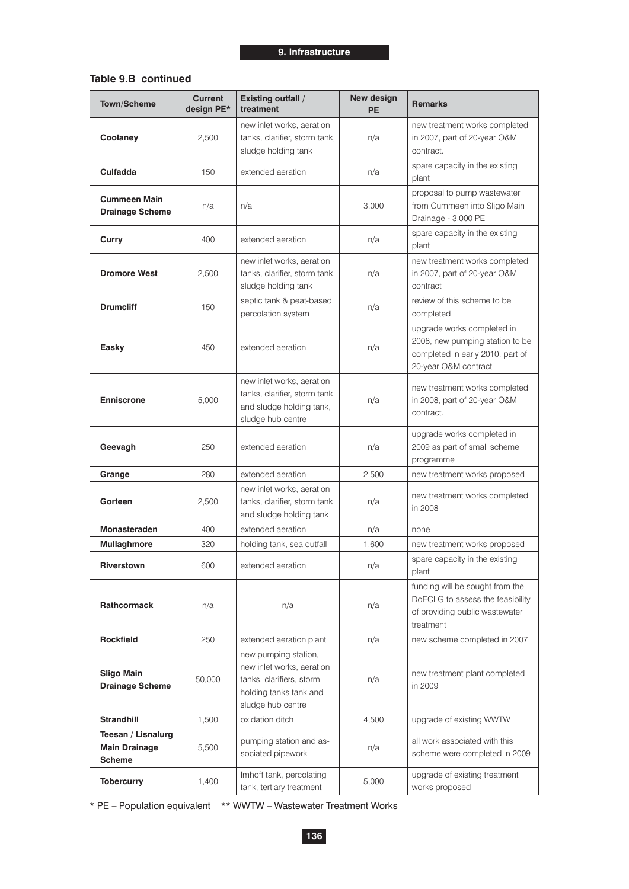#### **Table 9.B continued**

| Town/Scheme                                                 | <b>Current</b><br>design PE* | <b>Existing outfall /</b><br>treatment                                                                                       | New design<br>PE | <b>Remarks</b>                                                                                                            |  |
|-------------------------------------------------------------|------------------------------|------------------------------------------------------------------------------------------------------------------------------|------------------|---------------------------------------------------------------------------------------------------------------------------|--|
| Coolaney                                                    | 2,500                        | new inlet works, aeration<br>tanks, clarifier, storm tank,<br>sludge holding tank                                            | n/a              | new treatment works completed<br>in 2007, part of 20-year O&M<br>contract.                                                |  |
| Culfadda                                                    | 150                          | extended aeration                                                                                                            | n/a              | spare capacity in the existing<br>plant                                                                                   |  |
| <b>Cummeen Main</b><br><b>Drainage Scheme</b>               | n/a                          | n/a                                                                                                                          | 3,000            | proposal to pump wastewater<br>from Cummeen into Sligo Main<br>Drainage - 3,000 PE                                        |  |
| Curry                                                       | 400                          | extended aeration                                                                                                            | n/a              | spare capacity in the existing<br>plant                                                                                   |  |
| <b>Dromore West</b>                                         | 2,500                        | new inlet works, aeration<br>tanks, clarifier, storm tank,<br>sludge holding tank                                            | n/a              | new treatment works completed<br>in 2007, part of 20-year O&M<br>contract                                                 |  |
| <b>Drumcliff</b>                                            | 150                          | septic tank & peat-based<br>percolation system                                                                               | n/a              | review of this scheme to be<br>completed                                                                                  |  |
| <b>Easky</b>                                                | 450                          | extended aeration                                                                                                            | n/a              | upgrade works completed in<br>2008, new pumping station to be<br>completed in early 2010, part of<br>20-year O&M contract |  |
| <b>Enniscrone</b>                                           | 5,000                        | new inlet works, aeration<br>tanks, clarifier, storm tank<br>and sludge holding tank,<br>sludge hub centre                   | n/a              | new treatment works completed<br>in 2008, part of 20-year O&M<br>contract.                                                |  |
| Geevagh                                                     | 250                          | extended aeration                                                                                                            | n/a              | upgrade works completed in<br>2009 as part of small scheme<br>programme                                                   |  |
| Grange                                                      | 280                          | extended aeration                                                                                                            | 2,500            | new treatment works proposed                                                                                              |  |
| Gorteen                                                     | 2.500                        | new inlet works, aeration<br>tanks, clarifier, storm tank<br>and sludge holding tank                                         | n/a              | new treatment works completed<br>in 2008                                                                                  |  |
| Monasteraden                                                | 400                          | extended aeration                                                                                                            | n/a              | none                                                                                                                      |  |
| Mullaghmore                                                 | 320                          | holding tank, sea outfall                                                                                                    | 1,600            | new treatment works proposed                                                                                              |  |
| Riverstown                                                  | 600                          | extended aeration                                                                                                            | n/a              | spare capacity in the existing<br>plant                                                                                   |  |
| <b>Rathcormack</b>                                          | n/a                          | n/a                                                                                                                          | n/a              | funding will be sought from the<br>DoECLG to assess the feasibility<br>of providing public wastewater<br>treatment        |  |
| <b>Rockfield</b>                                            | 250                          | extended aeration plant                                                                                                      | n/a              | new scheme completed in 2007                                                                                              |  |
| <b>Sligo Main</b><br><b>Drainage Scheme</b>                 | 50,000                       | new pumping station,<br>new inlet works, aeration<br>tanks, clarifiers, storm<br>holding tanks tank and<br>sludge hub centre | n/a              | new treatment plant completed<br>in 2009                                                                                  |  |
| <b>Strandhill</b>                                           | 1,500                        | oxidation ditch                                                                                                              | 4,500            | upgrade of existing WWTW                                                                                                  |  |
| Teesan / Lisnalurg<br><b>Main Drainage</b><br><b>Scheme</b> | 5,500                        | pumping station and as-<br>sociated pipework                                                                                 | n/a              | all work associated with this<br>scheme were completed in 2009                                                            |  |
| <b>Tobercurry</b>                                           | 1,400                        | Imhoff tank, percolating<br>tank, tertiary treatment                                                                         | 5,000            | upgrade of existing treatment<br>works proposed                                                                           |  |

\* PE – Population equivalent \*\* WWTW – Wastewater Treatment Works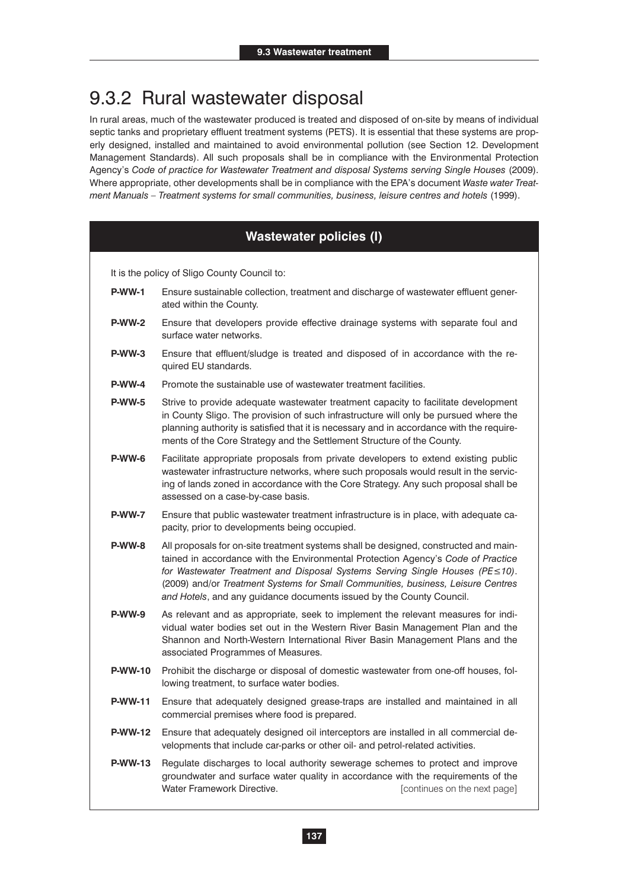## 9.3.2 Rural wastewater disposal

In rural areas, much of the wastewater produced is treated and disposed of on-site by means of individual septic tanks and proprietary effluent treatment systems (PETS). It is essential that these systems are properly designed, installed and maintained to avoid environmental pollution (see Section 12. Development Management Standards). All such proposals shall be in compliance with the Environmental Protection Agency's *Code of practice for Wastewater Treatment and disposal Systems serving Single Houses* (2009). Where appropriate, other developments shall be in compliance with the EPA's document *Waste water Treatment Manuals – Treatment systems for small communities, business, leisure centres and hotels* (1999).

#### **Wastewater policies (I)**

It is the policy of Sligo County Council to:

- **P-WW-1** Ensure sustainable collection, treatment and discharge of wastewater effluent generated within the County.
- **P-WW-2** Ensure that developers provide effective drainage systems with separate foul and surface water networks.
- **P-WW-3** Ensure that effluent/sludge is treated and disposed of in accordance with the required EU standards.
- **P-WW-4** Promote the sustainable use of wastewater treatment facilities.
- **P-WW-5** Strive to provide adequate wastewater treatment capacity to facilitate development in County Sligo. The provision of such infrastructure will only be pursued where the planning authority is satisfied that it is necessary and in accordance with the requirements of the Core Strategy and the Settlement Structure of the County.
- **P-WW-6** Facilitate appropriate proposals from private developers to extend existing public wastewater infrastructure networks, where such proposals would result in the servicing of lands zoned in accordance with the Core Strategy. Any such proposal shall be assessed on a case-by-case basis.
- **P-WW-7** Ensure that public wastewater treatment infrastructure is in place, with adequate capacity, prior to developments being occupied.
- **P-WW-8** All proposals for on-site treatment systems shall be designed, constructed and maintained in accordance with the Environmental Protection Agency's *Code of Practice for Wastewater Treatment and Disposal Systems Serving Single Houses (PE≤10).* (2009) and/or *Treatment Systems for Small Communities, business, Leisure Centres and Hotels*, and any guidance documents issued by the County Council.
- **P-WW-9** As relevant and as appropriate, seek to implement the relevant measures for individual water bodies set out in the Western River Basin Management Plan and the Shannon and North-Western International River Basin Management Plans and the associated Programmes of Measures.
- **P-WW-10** Prohibit the discharge or disposal of domestic wastewater from one-off houses, following treatment, to surface water bodies.
- **P-WW-11** Ensure that adequately designed grease-traps are installed and maintained in all commercial premises where food is prepared.
- **P-WW-12** Ensure that adequately designed oil interceptors are installed in all commercial developments that include car-parks or other oil- and petrol-related activities.
- **P-WW-13** Regulate discharges to local authority sewerage schemes to protect and improve groundwater and surface water quality in accordance with the requirements of the Water Framework Directive. **Example 20 and Transformation** [continues on the next page]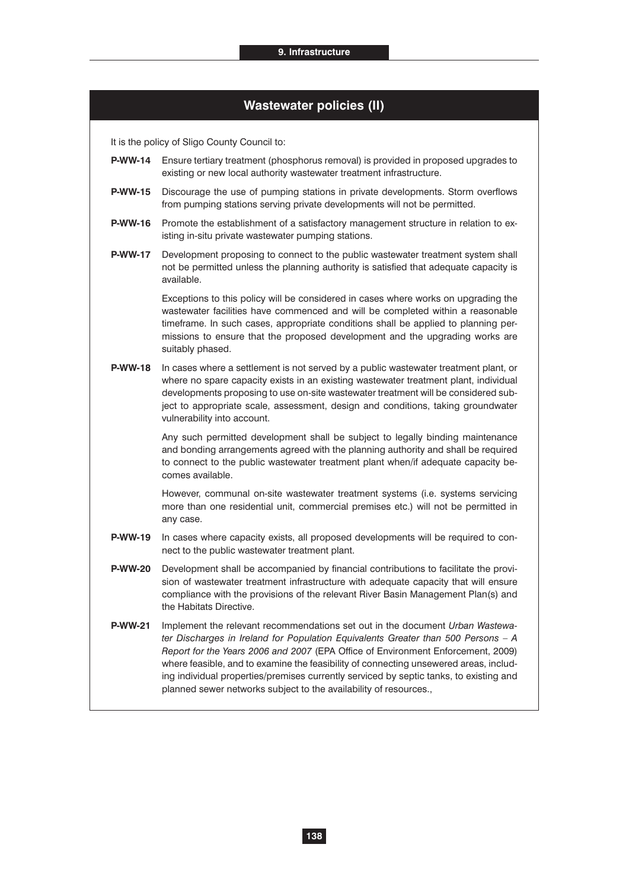|                | <b>Wastewater policies (II)</b>                                                                                                                                                                                                                                                                                                                                                                                                                                                                                |
|----------------|----------------------------------------------------------------------------------------------------------------------------------------------------------------------------------------------------------------------------------------------------------------------------------------------------------------------------------------------------------------------------------------------------------------------------------------------------------------------------------------------------------------|
|                | It is the policy of Sligo County Council to:                                                                                                                                                                                                                                                                                                                                                                                                                                                                   |
| <b>P-WW-14</b> | Ensure tertiary treatment (phosphorus removal) is provided in proposed upgrades to<br>existing or new local authority wastewater treatment infrastructure.                                                                                                                                                                                                                                                                                                                                                     |
| <b>P-WW-15</b> | Discourage the use of pumping stations in private developments. Storm overflows<br>from pumping stations serving private developments will not be permitted.                                                                                                                                                                                                                                                                                                                                                   |
| <b>P-WW-16</b> | Promote the establishment of a satisfactory management structure in relation to ex-<br>isting in-situ private wastewater pumping stations.                                                                                                                                                                                                                                                                                                                                                                     |
| <b>P-WW-17</b> | Development proposing to connect to the public wastewater treatment system shall<br>not be permitted unless the planning authority is satisfied that adequate capacity is<br>available.                                                                                                                                                                                                                                                                                                                        |
|                | Exceptions to this policy will be considered in cases where works on upgrading the<br>wastewater facilities have commenced and will be completed within a reasonable<br>timeframe. In such cases, appropriate conditions shall be applied to planning per-<br>missions to ensure that the proposed development and the upgrading works are<br>suitably phased.                                                                                                                                                 |
| <b>P-WW-18</b> | In cases where a settlement is not served by a public wastewater treatment plant, or<br>where no spare capacity exists in an existing wastewater treatment plant, individual<br>developments proposing to use on-site wastewater treatment will be considered sub-<br>ject to appropriate scale, assessment, design and conditions, taking groundwater<br>vulnerability into account.                                                                                                                          |
|                | Any such permitted development shall be subject to legally binding maintenance<br>and bonding arrangements agreed with the planning authority and shall be required<br>to connect to the public wastewater treatment plant when/if adequate capacity be-<br>comes available.                                                                                                                                                                                                                                   |
|                | However, communal on-site wastewater treatment systems (i.e. systems servicing<br>more than one residential unit, commercial premises etc.) will not be permitted in<br>any case.                                                                                                                                                                                                                                                                                                                              |
| <b>P-WW-19</b> | In cases where capacity exists, all proposed developments will be required to con-<br>nect to the public wastewater treatment plant.                                                                                                                                                                                                                                                                                                                                                                           |
| <b>P-WW-20</b> | Development shall be accompanied by financial contributions to facilitate the provi-<br>sion of wastewater treatment infrastructure with adequate capacity that will ensure<br>compliance with the provisions of the relevant River Basin Management Plan(s) and<br>the Habitats Directive.                                                                                                                                                                                                                    |
| <b>P-WW-21</b> | Implement the relevant recommendations set out in the document Urban Wastewa-<br>ter Discharges in Ireland for Population Equivalents Greater than 500 Persons - A<br>Report for the Years 2006 and 2007 (EPA Office of Environment Enforcement, 2009)<br>where feasible, and to examine the feasibility of connecting unsewered areas, includ-<br>ing individual properties/premises currently serviced by septic tanks, to existing and<br>planned sewer networks subject to the availability of resources., |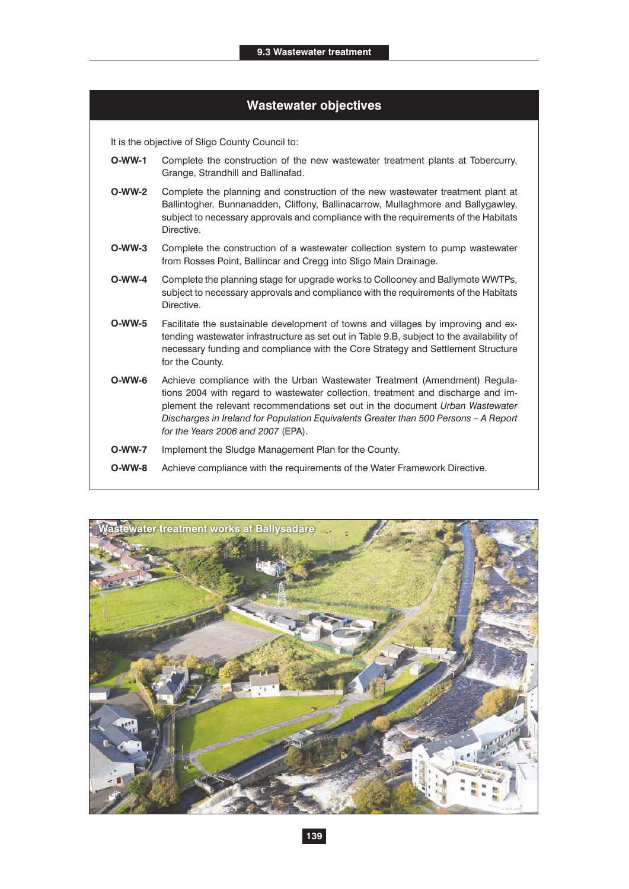#### **Wastewater objectives**

It is the objective of Sligo County Council to:

- **O-WW-1** Complete the construction of the new wastewater treatment plants at Tobercurry, Grange, Strandhill and Ballinafad.
- **O-WW-2** Complete the planning and construction of the new wastewater treatment plant at Ballintogher, Bunnanadden, Cliffony, Ballinacarrow, Mullaghmore and Ballygawley, subject to necessary approvals and compliance with the requirements of the Habitats Directive.
- **O-WW-3** Complete the construction of a wastewater collection system to pump wastewater from Rosses Point, Ballincar and Cregg into Sligo Main Drainage.
- **O-WW-4** Complete the planning stage for upgrade works to Collooney and Ballymote WWTPs, subject to necessary approvals and compliance with the requirements of the Habitats Directive.
- **O-WW-5** Facilitate the sustainable development of towns and villages by improving and extending wastewater infrastructure as set out in Table 9.B, subject to the availability of necessary funding and compliance with the Core Strategy and Settlement Structure for the County.
- **O-WW-6** Achieve compliance with the Urban Wastewater Treatment (Amendment) Regulations 2004 with regard to wastewater collection, treatment and discharge and implement the relevant recommendations set out in the document *Urban Wastewater Discharges in Ireland for Population Equivalents Greater than 500 Persons – A Report for the Years 2006 and 2007* (EPA).
- **O-WW-7** Implement the Sludge Management Plan for the County.
- **O-WW-8** Achieve compliance with the requirements of the Water Framework Directive.

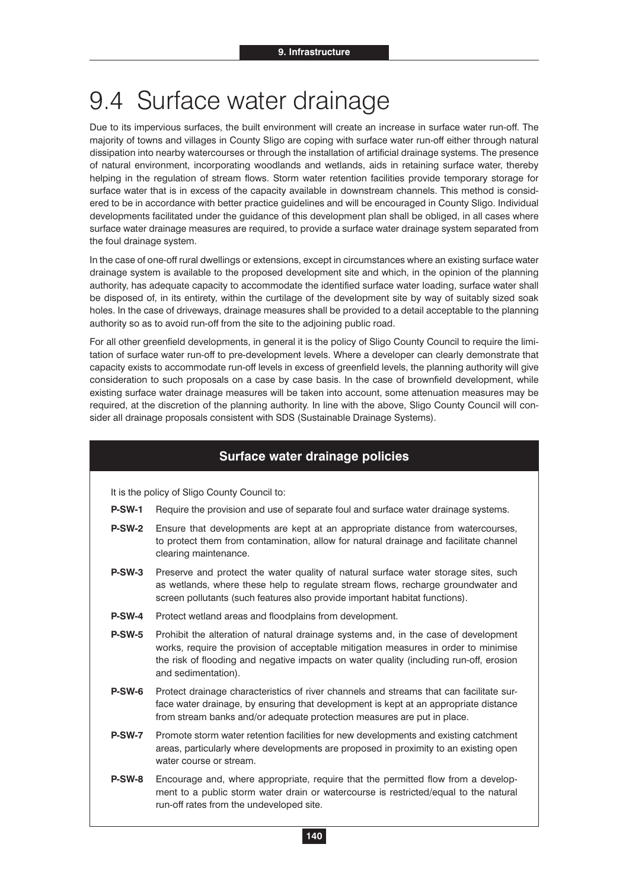## 9.4 Surface water drainage

Due to its impervious surfaces, the built environment will create an increase in surface water run-off. The majority of towns and villages in County Sligo are coping with surface water run-off either through natural dissipation into nearby watercourses or through the installation of artificial drainage systems. The presence of natural environment, incorporating woodlands and wetlands, aids in retaining surface water, thereby helping in the regulation of stream flows. Storm water retention facilities provide temporary storage for surface water that is in excess of the capacity available in downstream channels. This method is considered to be in accordance with better practice guidelines and will be encouraged in County Sligo. Individual developments facilitated under the guidance of this development plan shall be obliged, in all cases where surface water drainage measures are required, to provide a surface water drainage system separated from the foul drainage system.

In the case of one-off rural dwellings or extensions, except in circumstances where an existing surface water drainage system is available to the proposed development site and which, in the opinion of the planning authority, has adequate capacity to accommodate the identified surface water loading, surface water shall be disposed of, in its entirety, within the curtilage of the development site by way of suitably sized soak holes. In the case of driveways, drainage measures shall be provided to a detail acceptable to the planning authority so as to avoid run-off from the site to the adjoining public road.

For all other greenfield developments, in general it is the policy of Sligo County Council to require the limitation of surface water run-off to pre-development levels. Where a developer can clearly demonstrate that capacity exists to accommodate run-off levels in excess of greenfield levels, the planning authority will give consideration to such proposals on a case by case basis. In the case of brownfield development, while existing surface water drainage measures will be taken into account, some attenuation measures may be required, at the discretion of the planning authority. In line with the above, Sligo County Council will consider all drainage proposals consistent with SDS (Sustainable Drainage Systems).

#### **Surface water drainage policies**

It is the policy of Sligo County Council to:

- **P-SW-1** Require the provision and use of separate foul and surface water drainage systems.
- **P-SW-2** Ensure that developments are kept at an appropriate distance from watercourses, to protect them from contamination, allow for natural drainage and facilitate channel clearing maintenance.
- **P-SW-3** Preserve and protect the water quality of natural surface water storage sites, such as wetlands, where these help to regulate stream flows, recharge groundwater and screen pollutants (such features also provide important habitat functions).
- **P-SW-4** Protect wetland areas and floodplains from development.
- **P-SW-5** Prohibit the alteration of natural drainage systems and, in the case of development works, require the provision of acceptable mitigation measures in order to minimise the risk of flooding and negative impacts on water quality (including run-off, erosion and sedimentation).
- **P-SW-6** Protect drainage characteristics of river channels and streams that can facilitate surface water drainage, by ensuring that development is kept at an appropriate distance from stream banks and/or adequate protection measures are put in place.
- **P-SW-7** Promote storm water retention facilities for new developments and existing catchment areas, particularly where developments are proposed in proximity to an existing open water course or stream.
- **P-SW-8** Encourage and, where appropriate, require that the permitted flow from a development to a public storm water drain or watercourse is restricted/equal to the natural run-off rates from the undeveloped site.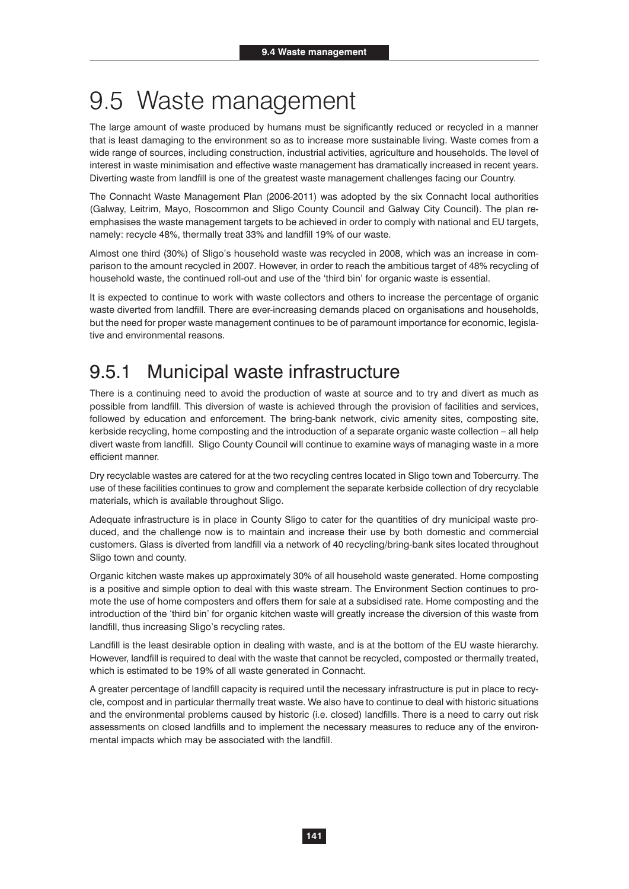## 9.5 Waste management

The large amount of waste produced by humans must be significantly reduced or recycled in a manner that is least damaging to the environment so as to increase more sustainable living. Waste comes from a wide range of sources, including construction, industrial activities, agriculture and households. The level of interest in waste minimisation and effective waste management has dramatically increased in recent years. Diverting waste from landfill is one of the greatest waste management challenges facing our Country.

The Connacht Waste Management Plan (2006-2011) was adopted by the six Connacht local authorities (Galway, Leitrim, Mayo, Roscommon and Sligo County Council and Galway City Council). The plan reemphasises the waste management targets to be achieved in order to comply with national and EU targets, namely: recycle 48%, thermally treat 33% and landfill 19% of our waste.

Almost one third (30%) of Sligo's household waste was recycled in 2008, which was an increase in comparison to the amount recycled in 2007. However, in order to reach the ambitious target of 48% recycling of household waste, the continued roll-out and use of the 'third bin' for organic waste is essential.

It is expected to continue to work with waste collectors and others to increase the percentage of organic waste diverted from landfill. There are ever-increasing demands placed on organisations and households, but the need for proper waste management continues to be of paramount importance for economic, legislative and environmental reasons.

## 9.5.1 Municipal waste infrastructure

There is a continuing need to avoid the production of waste at source and to try and divert as much as possible from landfill. This diversion of waste is achieved through the provision of facilities and services, followed by education and enforcement. The bring-bank network, civic amenity sites, composting site, kerbside recycling, home composting and the introduction of a separate organic waste collection – all help divert waste from landfill. Sligo County Council will continue to examine ways of managing waste in a more efficient manner.

Dry recyclable wastes are catered for at the two recycling centres located in Sligo town and Tobercurry. The use of these facilities continues to grow and complement the separate kerbside collection of dry recyclable materials, which is available throughout Sligo.

Adequate infrastructure is in place in County Sligo to cater for the quantities of dry municipal waste produced, and the challenge now is to maintain and increase their use by both domestic and commercial customers. Glass is diverted from landfill via a network of 40 recycling/bring-bank sites located throughout Sligo town and county.

Organic kitchen waste makes up approximately 30% of all household waste generated. Home composting is a positive and simple option to deal with this waste stream. The Environment Section continues to promote the use of home composters and offers them for sale at a subsidised rate. Home composting and the introduction of the 'third bin' for organic kitchen waste will greatly increase the diversion of this waste from landfill, thus increasing Sligo's recycling rates.

Landfill is the least desirable option in dealing with waste, and is at the bottom of the EU waste hierarchy. However, landfill is required to deal with the waste that cannot be recycled, composted or thermally treated, which is estimated to be 19% of all waste generated in Connacht.

A greater percentage of landfill capacity is required until the necessary infrastructure is put in place to recycle, compost and in particular thermally treat waste. We also have to continue to deal with historic situations and the environmental problems caused by historic (i.e. closed) landfills. There is a need to carry out risk assessments on closed landfills and to implement the necessary measures to reduce any of the environmental impacts which may be associated with the landfill.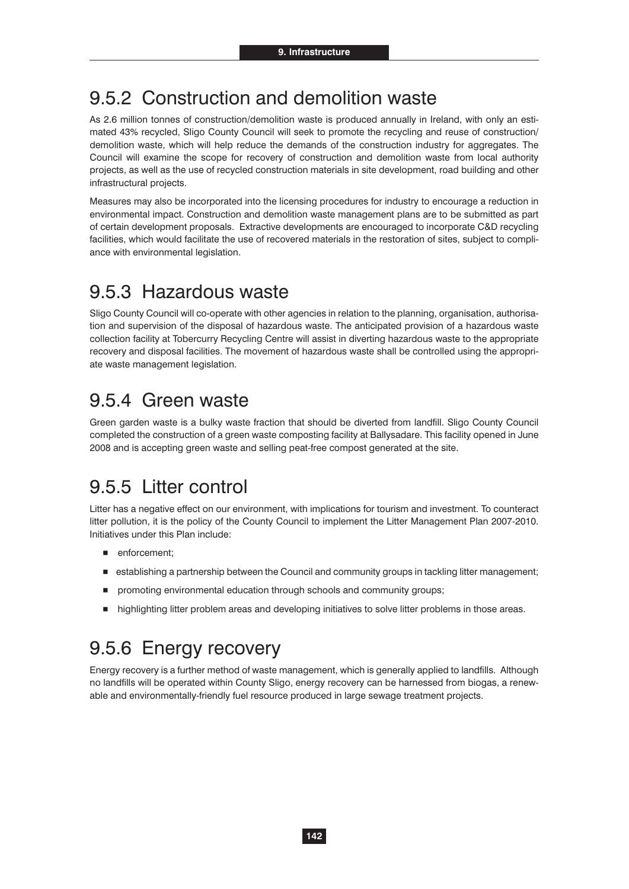### 9.5.2 Construction and demolition waste

As 2.6 million tonnes of construction/demolition waste is produced annually in Ireland, with only an estimated 43% recycled, Sligo County Council will seek to promote the recycling and reuse of construction/ demolition waste, which will help reduce the demands of the construction industry for aggregates. The Council will examine the scope for recovery of construction and demolition waste from local authority projects, as well as the use of recycled construction materials in site development, road building and other infrastructural projects.

Measures may also be incorporated into the licensing procedures for industry to encourage a reduction in environmental impact. Construction and demolition waste management plans are to be submitted as part of certain development proposals. Extractive developments are encouraged to incorporate C&D recycling facilities, which would facilitate the use of recovered materials in the restoration of sites, subject to compliance with environmental legislation.

## 9.5.3 Hazardous waste

Sligo County Council will co-operate with other agencies in relation to the planning, organisation, authorisation and supervision of the disposal of hazardous waste. The anticipated provision of a hazardous waste collection facility at Tobercurry Recycling Centre will assist in diverting hazardous waste to the appropriate recovery and disposal facilities. The movement of hazardous waste shall be controlled using the appropriate waste management legislation.

### 9.5.4 Green waste

Green garden waste is a bulky waste fraction that should be diverted from landfill. Sligo County Council completed the construction of a green waste composting facility at Ballysadare. This facility opened in June 2008 and is accepting green waste and selling peat-free compost generated at the site.

## 9.5.5 Litter control

Litter has a negative effect on our environment, with implications for tourism and investment. To counteract litter pollution, it is the policy of the County Council to implement the Litter Management Plan 2007-2010. Initiatives under this Plan include:

- **n** enforcement;
- establishing a partnership between the Council and community groups in tackling litter management;
- promoting environmental education through schools and community groups;
- -highlighting litter problem areas and developing initiatives to solve litter problems in those areas.

## 9.5.6 Energy recovery

Energy recovery is a further method of waste management, which is generally applied to landfills. Although no landfills will be operated within County Sligo, energy recovery can be harnessed from biogas, a renewable and environmentally-friendly fuel resource produced in large sewage treatment projects.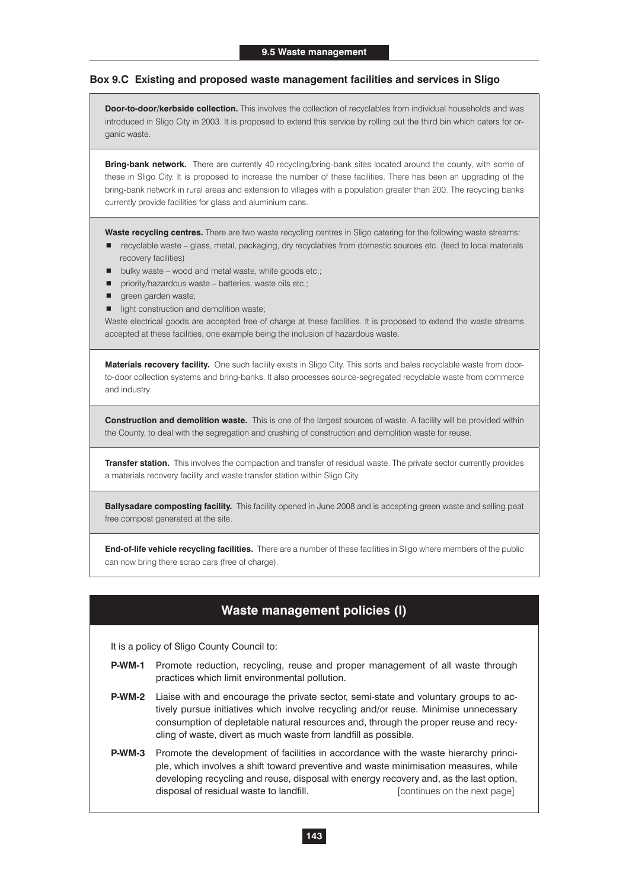#### **Box 9.C Existing and proposed waste management facilities and services in Sligo**

**Door-to-door/kerbside collection.** This involves the collection of recyclables from individual households and was introduced in Sligo City in 2003. It is proposed to extend this service by rolling out the third bin which caters for organic waste.

**Bring-bank network.** There are currently 40 recycling/bring-bank sites located around the county, with some of these in Sligo City. It is proposed to increase the number of these facilities. There has been an upgrading of the bring-bank network in rural areas and extension to villages with a population greater than 200. The recycling banks currently provide facilities for glass and aluminium cans.

**Waste recycling centres.** There are two waste recycling centres in Sligo catering for the following waste streams:

- -recyclable waste glass, metal, packaging, dry recyclables from domestic sources etc. (feed to local materials recovery facilities)
- bulky waste wood and metal waste, white goods etc.;
- priority/hazardous waste batteries, waste oils etc.;
- **green garden waste;**
- $\blacksquare$  light construction and demolition waste;

Waste electrical goods are accepted free of charge at these facilities. It is proposed to extend the waste streams accepted at these facilities, one example being the inclusion of hazardous waste.

**Materials recovery facility.** One such facility exists in Sligo City. This sorts and bales recyclable waste from doorto-door collection systems and bring-banks. It also processes source-segregated recyclable waste from commerce and industry.

**Construction and demolition waste.** This is one of the largest sources of waste. A facility will be provided within the County, to deal with the segregation and crushing of construction and demolition waste for reuse.

**Transfer station.** This involves the compaction and transfer of residual waste. The private sector currently provides a materials recovery facility and waste transfer station within Sligo City.

**Ballysadare composting facility.** This facility opened in June 2008 and is accepting green waste and selling peat free compost generated at the site.

**End-of-life vehicle recycling facilities.** There are a number of these facilities in Sligo where members of the public can now bring there scrap cars (free of charge).

#### **Waste management policies (I)**

It is a policy of Sligo County Council to:

- **P-WM-1** Promote reduction, recycling, reuse and proper management of all waste through practices which limit environmental pollution.
- **P-WM-2** Liaise with and encourage the private sector, semi-state and voluntary groups to actively pursue initiatives which involve recycling and/or reuse. Minimise unnecessary consumption of depletable natural resources and, through the proper reuse and recycling of waste, divert as much waste from landfill as possible.
- **P-WM-3** Promote the development of facilities in accordance with the waste hierarchy principle, which involves a shift toward preventive and waste minimisation measures, while developing recycling and reuse, disposal with energy recovery and, as the last option, disposal of residual waste to landfill. **Example 10** [continues on the next page]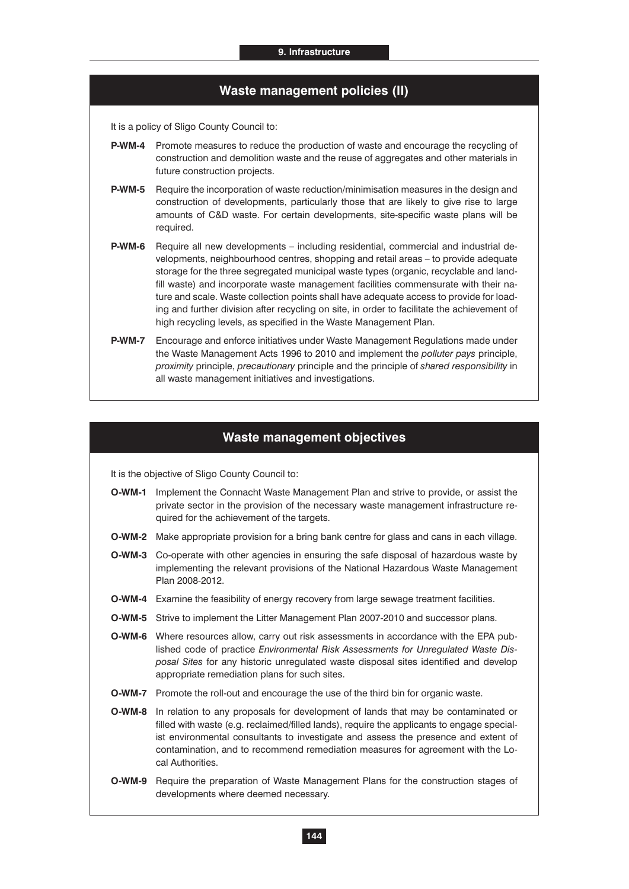#### **Waste management policies (II)**

It is a policy of Sligo County Council to:

- **P-WM-4** Promote measures to reduce the production of waste and encourage the recycling of construction and demolition waste and the reuse of aggregates and other materials in future construction projects.
- **P-WM-5** Require the incorporation of waste reduction/minimisation measures in the design and construction of developments, particularly those that are likely to give rise to large amounts of C&D waste. For certain developments, site-specific waste plans will be required.
- **P-WM-6** Require all new developments including residential, commercial and industrial developments, neighbourhood centres, shopping and retail areas – to provide adequate storage for the three segregated municipal waste types (organic, recyclable and landfill waste) and incorporate waste management facilities commensurate with their nature and scale. Waste collection points shall have adequate access to provide for loading and further division after recycling on site, in order to facilitate the achievement of high recycling levels, as specified in the Waste Management Plan.
- **P-WM-7** Encourage and enforce initiatives under Waste Management Regulations made under the Waste Management Acts 1996 to 2010 and implement the *polluter pays* principle, *proximity* principle, *precautionary* principle and the principle of *shared responsibility* in all waste management initiatives and investigations.

#### **Waste management objectives**

It is the objective of Sligo County Council to:

- **O-WM-1** Implement the Connacht Waste Management Plan and strive to provide, or assist the private sector in the provision of the necessary waste management infrastructure required for the achievement of the targets.
- **O-WM-2** Make appropriate provision for a bring bank centre for glass and cans in each village.
- **O-WM-3** Co-operate with other agencies in ensuring the safe disposal of hazardous waste by implementing the relevant provisions of the National Hazardous Waste Management Plan 2008-2012.
- **O-WM-4** Examine the feasibility of energy recovery from large sewage treatment facilities.
- **O-WM-5** Strive to implement the Litter Management Plan 2007-2010 and successor plans.
- **O-WM-6** Where resources allow, carry out risk assessments in accordance with the EPA published code of practice *Environmental Risk Assessments for Unregulated Waste Disposal Sites* for any historic unregulated waste disposal sites identified and develop appropriate remediation plans for such sites.
- **O-WM-7** Promote the roll-out and encourage the use of the third bin for organic waste.
- **O-WM-8** In relation to any proposals for development of lands that may be contaminated or filled with waste (e.g. reclaimed/filled lands), require the applicants to engage specialist environmental consultants to investigate and assess the presence and extent of contamination, and to recommend remediation measures for agreement with the Local Authorities.
- **O-WM-9** Require the preparation of Waste Management Plans for the construction stages of developments where deemed necessary.